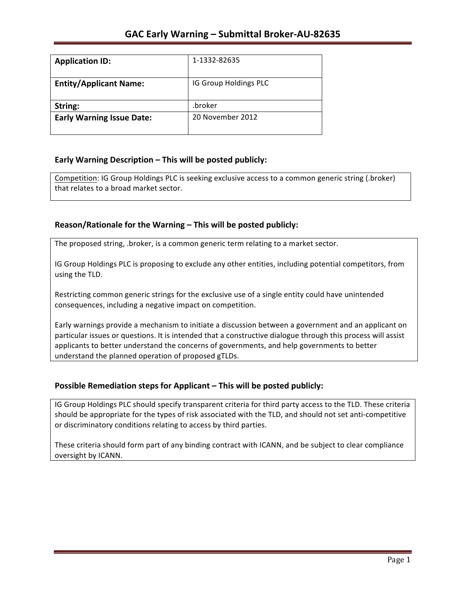| <b>Application ID:</b>           | 1-1332-82635          |
|----------------------------------|-----------------------|
| <b>Entity/Applicant Name:</b>    | IG Group Holdings PLC |
| String:                          | .broker               |
| <b>Early Warning Issue Date:</b> | 20 November 2012      |

## **Early Warning Description – This will be posted publicly:**

Competition: IG Group Holdings PLC is seeking exclusive access to a common generic string (.broker) that relates to a broad market sector.

## Reason/Rationale for the Warning – This will be posted publicly:

The proposed string, .broker, is a common generic term relating to a market sector.

IG Group Holdings PLC is proposing to exclude any other entities, including potential competitors, from using the TLD.

Restricting common generic strings for the exclusive use of a single entity could have unintended consequences, including a negative impact on competition.

Early warnings provide a mechanism to initiate a discussion between a government and an applicant on particular issues or questions. It is intended that a constructive dialogue through this process will assist applicants to better understand the concerns of governments, and help governments to better understand the planned operation of proposed gTLDs.

### **Possible Remediation steps for Applicant – This will be posted publicly:**

IG Group Holdings PLC should specify transparent criteria for third party access to the TLD. These criteria should be appropriate for the types of risk associated with the TLD, and should not set anti-competitive or discriminatory conditions relating to access by third parties.

These criteria should form part of any binding contract with ICANN, and be subject to clear compliance oversight by ICANN.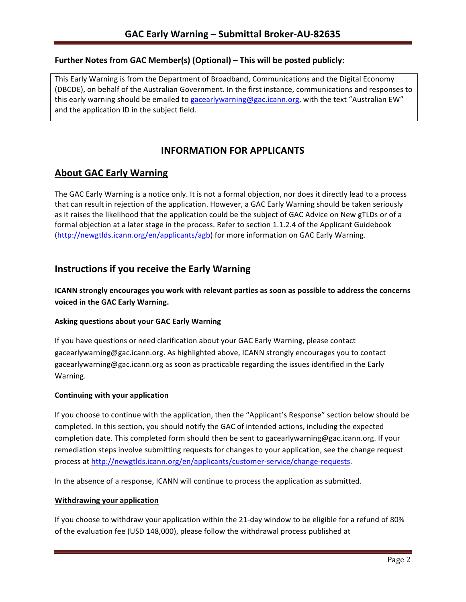### **Further Notes from GAC Member(s) (Optional) – This will be posted publicly:**

This Early Warning is from the Department of Broadband, Communications and the Digital Economy (DBCDE), on behalf of the Australian Government. In the first instance, communications and responses to this early warning should be emailed to gacearlywarning@gac.icann.org, with the text "Australian EW" and the application ID in the subject field.

# **INFORMATION FOR APPLICANTS**

# **About GAC Early Warning**

The GAC Early Warning is a notice only. It is not a formal objection, nor does it directly lead to a process that can result in rejection of the application. However, a GAC Early Warning should be taken seriously as it raises the likelihood that the application could be the subject of GAC Advice on New gTLDs or of a formal objection at a later stage in the process. Refer to section 1.1.2.4 of the Applicant Guidebook (http://newgtlds.icann.org/en/applicants/agb) for more information on GAC Early Warning.

## **Instructions if you receive the Early Warning**

**ICANN** strongly encourages you work with relevant parties as soon as possible to address the concerns **voiced in the GAC Early Warning.** 

#### **Asking questions about your GAC Early Warning**

If you have questions or need clarification about your GAC Early Warning, please contact gacearlywarning@gac.icann.org. As highlighted above, ICANN strongly encourages you to contact gacearlywarning@gac.icann.org as soon as practicable regarding the issues identified in the Early Warning. 

#### **Continuing with your application**

If you choose to continue with the application, then the "Applicant's Response" section below should be completed. In this section, you should notify the GAC of intended actions, including the expected completion date. This completed form should then be sent to gacearlywarning@gac.icann.org. If your remediation steps involve submitting requests for changes to your application, see the change request process at http://newgtlds.icann.org/en/applicants/customer-service/change-requests.

In the absence of a response, ICANN will continue to process the application as submitted.

#### **Withdrawing your application**

If you choose to withdraw your application within the 21-day window to be eligible for a refund of 80% of the evaluation fee (USD 148,000), please follow the withdrawal process published at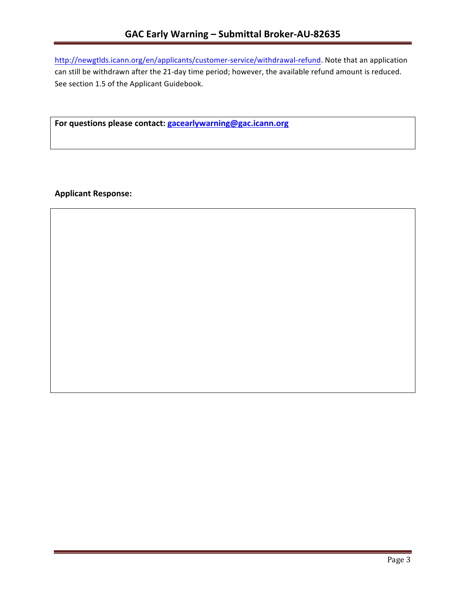http://newgtlds.icann.org/en/applicants/customer-service/withdrawal-refund. Note that an application can still be withdrawn after the 21-day time period; however, the available refund amount is reduced. See section 1.5 of the Applicant Guidebook.

For questions please contact: gacearlywarning@gac.icann.org

**Applicant Response:**